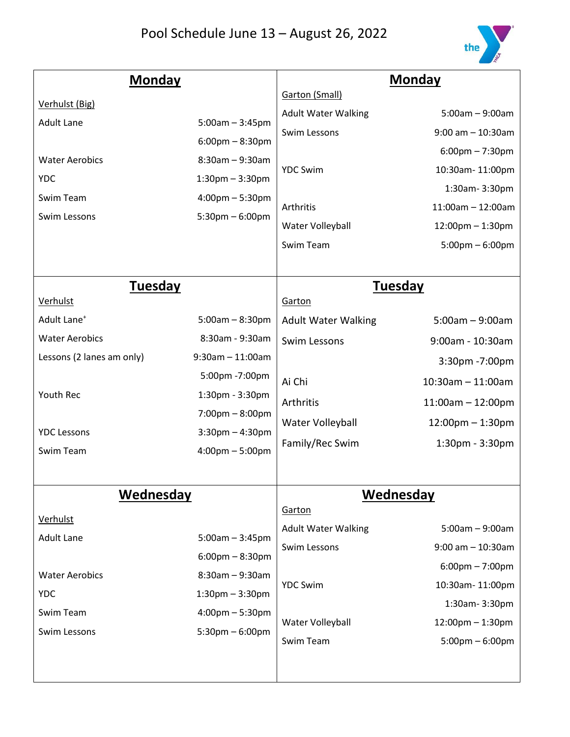

| <b>Monday</b>             |                                   | <b>Monday</b>              |                                   |
|---------------------------|-----------------------------------|----------------------------|-----------------------------------|
| Verhulst (Big)            |                                   | Garton (Small)             |                                   |
| <b>Adult Lane</b>         | $5:00am - 3:45pm$                 | <b>Adult Water Walking</b> | $5:00am - 9:00am$                 |
|                           | $6:00 \text{pm} - 8:30 \text{pm}$ | Swim Lessons               | $9:00$ am $-10:30$ am             |
| <b>Water Aerobics</b>     | $8:30am - 9:30am$                 |                            | $6:00$ pm $-7:30$ pm              |
| <b>YDC</b>                | $1:30$ pm $-3:30$ pm              | <b>YDC Swim</b>            | 10:30am-11:00pm                   |
| Swim Team                 | $4:00 \text{pm} - 5:30 \text{pm}$ |                            | 1:30am-3:30pm                     |
| Swim Lessons              | $5:30$ pm $-6:00$ pm              | Arthritis                  | $11:00$ am $- 12:00$ am           |
|                           |                                   | Water Volleyball           | $12:00$ pm $-1:30$ pm             |
|                           |                                   | Swim Team                  | $5:00 \text{pm} - 6:00 \text{pm}$ |
|                           |                                   |                            |                                   |
| <b>Tuesday</b>            |                                   |                            | Tuesday                           |
| Verhulst                  |                                   | Garton                     |                                   |
| Adult Lane <sup>+</sup>   | $5:00am - 8:30pm$                 | <b>Adult Water Walking</b> | $5:00am - 9:00am$                 |
| <b>Water Aerobics</b>     | 8:30am - 9:30am                   | Swim Lessons               | 9:00am - 10:30am                  |
| Lessons (2 lanes am only) | $9:30$ am $-11:00$ am             |                            | 3:30pm -7:00pm                    |
|                           | 5:00pm -7:00pm                    | Ai Chi                     | $10:30$ am - 11:00am              |
| Youth Rec                 | 1:30pm - 3:30pm                   | Arthritis                  | $11:00am - 12:00pm$               |
|                           | $7:00 \text{pm} - 8:00 \text{pm}$ | Water Volleyball           | $12:00$ pm $-1:30$ pm             |
| <b>YDC Lessons</b>        | $3:30$ pm $-4:30$ pm              | Family/Rec Swim            | $1:30$ pm - $3:30$ pm             |
| Swim Team                 | $4:00 \text{pm} - 5:00 \text{pm}$ |                            |                                   |
|                           |                                   |                            |                                   |
| Wednesday                 |                                   | <b>Wednesday</b>           |                                   |
| Verhulst                  |                                   | Garton                     |                                   |
| <b>Adult Lane</b>         | $5:00am - 3:45pm$                 | <b>Adult Water Walking</b> | $5:00am - 9:00am$                 |
|                           | $6:00 \text{pm} - 8:30 \text{pm}$ | Swim Lessons               | $9:00$ am $-10:30$ am             |
| <b>Water Aerobics</b>     | $8:30am - 9:30am$                 |                            | $6:00 \text{pm} - 7:00 \text{pm}$ |
| <b>YDC</b>                | $1:30$ pm $-3:30$ pm              | <b>YDC Swim</b>            | 10:30am-11:00pm                   |
| Swim Team                 | $4:00 \text{pm} - 5:30 \text{pm}$ |                            | 1:30am-3:30pm                     |
| Swim Lessons              | $5:30$ pm $-6:00$ pm              | Water Volleyball           | $12:00$ pm $-1:30$ pm             |
|                           |                                   | Swim Team                  | $5:00 \text{pm} - 6:00 \text{pm}$ |
|                           |                                   |                            |                                   |
|                           |                                   |                            |                                   |